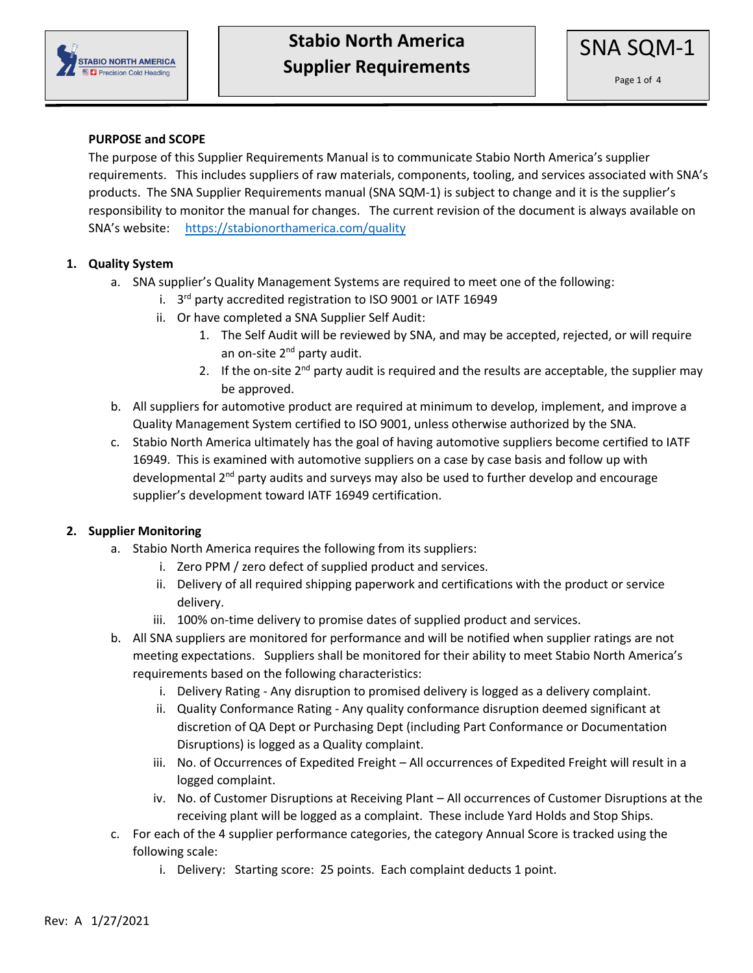

### **PURPOSE and SCOPE**

The purpose of this Supplier Requirements Manual is to communicate Stabio North America's supplier requirements. This includes suppliers of raw materials, components, tooling, and services associated with SNA's products. The SNA Supplier Requirements manual (SNA SQM-1) is subject to change and it is the supplier's responsibility to monitor the manual for changes. The current revision of the document is always available on SNA's website: <https://stabionorthamerica.com/quality>

#### **1. Quality System**

- a. SNA supplier's Quality Management Systems are required to meet one of the following:
	- i. 3<sup>rd</sup> party accredited registration to ISO 9001 or IATF 16949
	- ii. Or have completed a SNA Supplier Self Audit:
		- 1. The Self Audit will be reviewed by SNA, and may be accepted, rejected, or will require an on-site 2<sup>nd</sup> party audit.
		- 2. If the on-site 2<sup>nd</sup> party audit is required and the results are acceptable, the supplier may be approved.
- b. All suppliers for automotive product are required at minimum to develop, implement, and improve a Quality Management System certified to ISO 9001, unless otherwise authorized by the SNA.
- c. Stabio North America ultimately has the goal of having automotive suppliers become certified to IATF 16949. This is examined with automotive suppliers on a case by case basis and follow up with developmental  $2<sup>nd</sup>$  party audits and surveys may also be used to further develop and encourage supplier's development toward IATF 16949 certification.

#### **2. Supplier Monitoring**

- a. Stabio North America requires the following from its suppliers:
	- i. Zero PPM / zero defect of supplied product and services.
	- ii. Delivery of all required shipping paperwork and certifications with the product or service delivery.
	- iii. 100% on-time delivery to promise dates of supplied product and services.
- b. All SNA suppliers are monitored for performance and will be notified when supplier ratings are not meeting expectations. Suppliers shall be monitored for their ability to meet Stabio North America's requirements based on the following characteristics:
	- i. Delivery Rating Any disruption to promised delivery is logged as a delivery complaint.
	- ii. Quality Conformance Rating Any quality conformance disruption deemed significant at discretion of QA Dept or Purchasing Dept (including Part Conformance or Documentation Disruptions) is logged as a Quality complaint.
	- iii. No. of Occurrences of Expedited Freight All occurrences of Expedited Freight will result in a logged complaint.
	- iv. No. of Customer Disruptions at Receiving Plant All occurrences of Customer Disruptions at the receiving plant will be logged as a complaint. These include Yard Holds and Stop Ships.
- c. For each of the 4 supplier performance categories, the category Annual Score is tracked using the following scale:
	- i. Delivery: Starting score: 25 points. Each complaint deducts 1 point.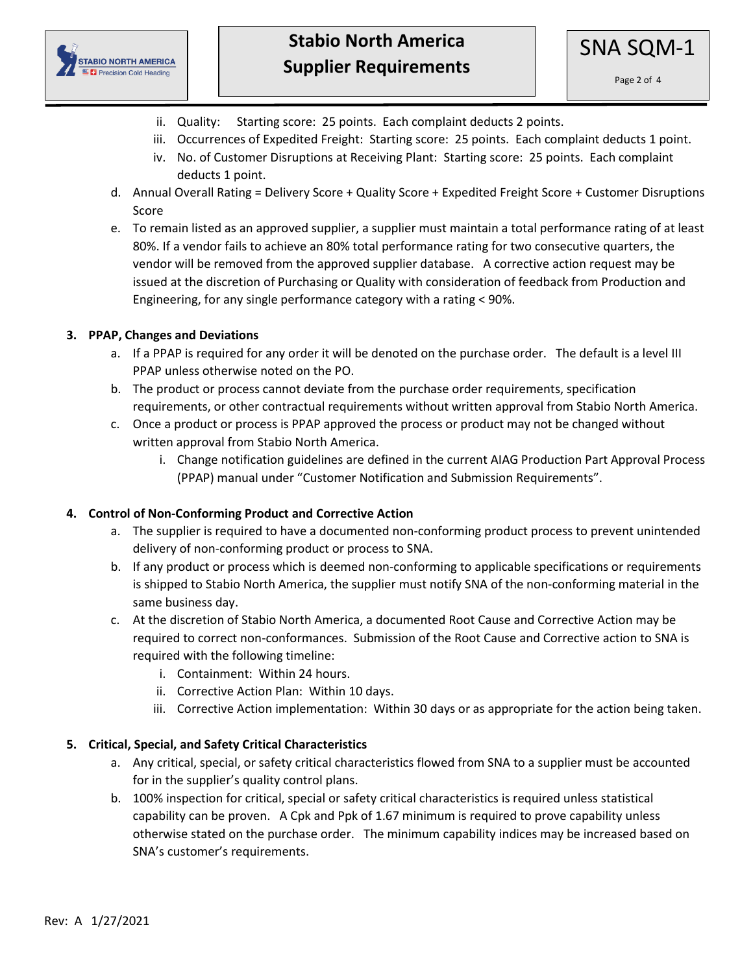

- ii. Quality: Starting score: 25 points. Each complaint deducts 2 points.
- iii. Occurrences of Expedited Freight: Starting score: 25 points. Each complaint deducts 1 point.
- iv. No. of Customer Disruptions at Receiving Plant: Starting score: 25 points. Each complaint deducts 1 point.
- d. Annual Overall Rating = Delivery Score + Quality Score + Expedited Freight Score + Customer Disruptions Score
- e. To remain listed as an approved supplier, a supplier must maintain a total performance rating of at least 80%. If a vendor fails to achieve an 80% total performance rating for two consecutive quarters, the vendor will be removed from the approved supplier database. A corrective action request may be issued at the discretion of Purchasing or Quality with consideration of feedback from Production and Engineering, for any single performance category with a rating < 90%.

## **3. PPAP, Changes and Deviations**

- a. If a PPAP is required for any order it will be denoted on the purchase order. The default is a level III PPAP unless otherwise noted on the PO.
- b. The product or process cannot deviate from the purchase order requirements, specification requirements, or other contractual requirements without written approval from Stabio North America.
- c. Once a product or process is PPAP approved the process or product may not be changed without written approval from Stabio North America.
	- i. Change notification guidelines are defined in the current AIAG Production Part Approval Process (PPAP) manual under "Customer Notification and Submission Requirements".

## **4. Control of Non-Conforming Product and Corrective Action**

- a. The supplier is required to have a documented non-conforming product process to prevent unintended delivery of non-conforming product or process to SNA.
- b. If any product or process which is deemed non-conforming to applicable specifications or requirements is shipped to Stabio North America, the supplier must notify SNA of the non-conforming material in the same business day.
- c. At the discretion of Stabio North America, a documented Root Cause and Corrective Action may be required to correct non-conformances. Submission of the Root Cause and Corrective action to SNA is required with the following timeline:
	- i. Containment: Within 24 hours.
	- ii. Corrective Action Plan: Within 10 days.
	- iii. Corrective Action implementation: Within 30 days or as appropriate for the action being taken.

## **5. Critical, Special, and Safety Critical Characteristics**

- a. Any critical, special, or safety critical characteristics flowed from SNA to a supplier must be accounted for in the supplier's quality control plans.
- b. 100% inspection for critical, special or safety critical characteristics is required unless statistical capability can be proven. A Cpk and Ppk of 1.67 minimum is required to prove capability unless otherwise stated on the purchase order. The minimum capability indices may be increased based on SNA's customer's requirements.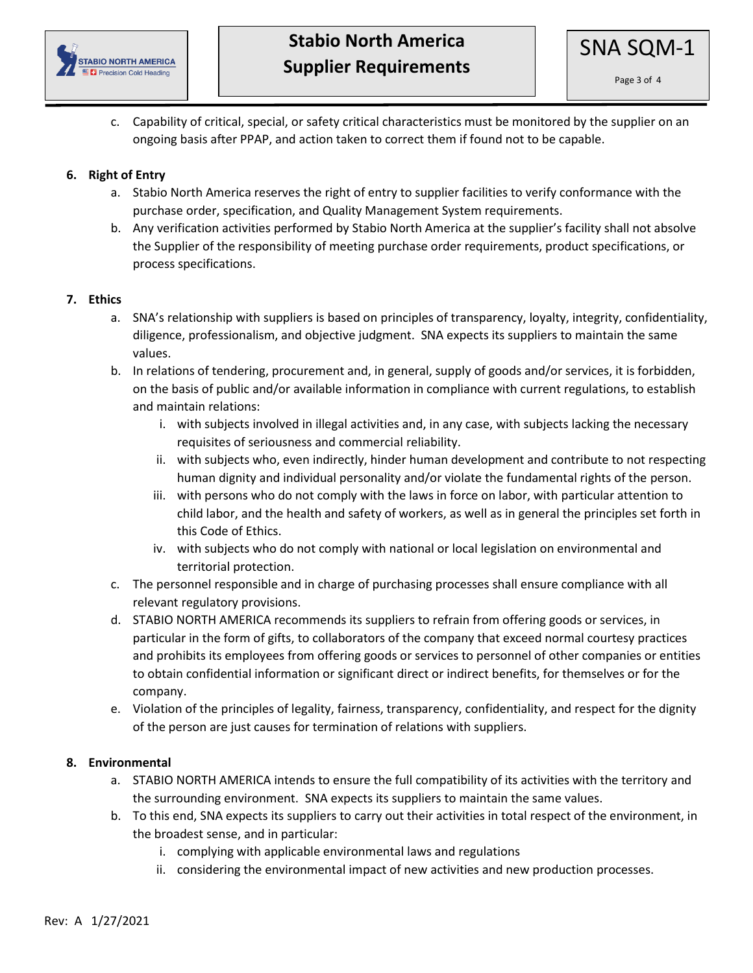

c. Capability of critical, special, or safety critical characteristics must be monitored by the supplier on an ongoing basis after PPAP, and action taken to correct them if found not to be capable.

### **6. Right of Entry**

- a. Stabio North America reserves the right of entry to supplier facilities to verify conformance with the purchase order, specification, and Quality Management System requirements.
- b. Any verification activities performed by Stabio North America at the supplier's facility shall not absolve the Supplier of the responsibility of meeting purchase order requirements, product specifications, or process specifications.

### **7. Ethics**

- a. SNA's relationship with suppliers is based on principles of transparency, loyalty, integrity, confidentiality, diligence, professionalism, and objective judgment. SNA expects its suppliers to maintain the same values.
- b. In relations of tendering, procurement and, in general, supply of goods and/or services, it is forbidden, on the basis of public and/or available information in compliance with current regulations, to establish and maintain relations:
	- i. with subjects involved in illegal activities and, in any case, with subjects lacking the necessary requisites of seriousness and commercial reliability.
	- ii. with subjects who, even indirectly, hinder human development and contribute to not respecting human dignity and individual personality and/or violate the fundamental rights of the person.
	- iii. with persons who do not comply with the laws in force on labor, with particular attention to child labor, and the health and safety of workers, as well as in general the principles set forth in this Code of Ethics.
	- iv. with subjects who do not comply with national or local legislation on environmental and territorial protection.
- c. The personnel responsible and in charge of purchasing processes shall ensure compliance with all relevant regulatory provisions.
- d. STABIO NORTH AMERICA recommends its suppliers to refrain from offering goods or services, in particular in the form of gifts, to collaborators of the company that exceed normal courtesy practices and prohibits its employees from offering goods or services to personnel of other companies or entities to obtain confidential information or significant direct or indirect benefits, for themselves or for the company.
- e. Violation of the principles of legality, fairness, transparency, confidentiality, and respect for the dignity of the person are just causes for termination of relations with suppliers.

#### **8. Environmental**

- a. STABIO NORTH AMERICA intends to ensure the full compatibility of its activities with the territory and the surrounding environment. SNA expects its suppliers to maintain the same values.
- b. To this end, SNA expects its suppliers to carry out their activities in total respect of the environment, in the broadest sense, and in particular:
	- i. complying with applicable environmental laws and regulations
	- ii. considering the environmental impact of new activities and new production processes.